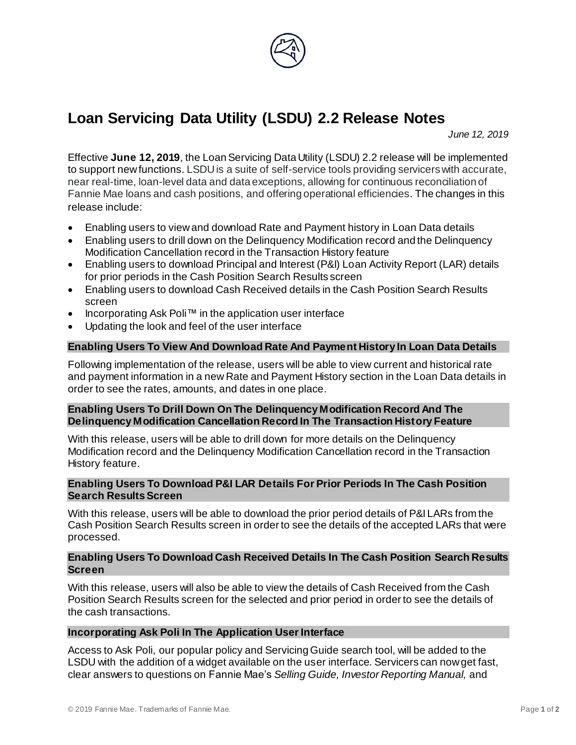

# **Loan Servicing Data Utility (LSDU) 2.2 Release Notes**

*June 12, 2019*

Effective **June 12, 2019**, the Loan Servicing Data Utility (LSDU) 2.2 release will be implemented to support new functions. LSDU is a suite of self-service tools providing servicers with accurate, near real-time, loan-level data and data exceptions, allowing for continuous reconciliation of Fannie Mae loans and cash positions, and offering operational efficiencies. The changes in this release include:

- Enabling users to view and download Rate and Payment history in Loan Data details
- Enabling users to drill down on the Delinquency Modification record and the Delinquency Modification Cancellation record in the Transaction History feature
- Enabling users to download Principal and Interest (P&I) Loan Activity Report (LAR) details for prior periods in the Cash Position Search Results screen
- Enabling users to download Cash Received details in the Cash Position Search Results screen
- Incorporating Ask Poli™ in the application user interface
- Updating the look and feel of the user interface

## **Enabling Users To View And Download Rate And Payment History In Loan Data Details**

Following implementation of the release, users will be able to view current and historical rate and payment information in a new Rate and Payment History section in the Loan Data details in order to see the rates, amounts, and dates in one place.

### **Enabling Users To Drill Down On The Delinquency Modification Record And The Delinquency Modification Cancellation Record In The Transaction History Feature**

With this release, users will be able to drill down for more details on the Delinquency Modification record and the Delinquency Modification Cancellation record in the Transaction History feature.

### **Enabling Users To Download P&I LAR Details For Prior Periods In The Cash Position Search Results Screen**

With this release, users will be able to download the prior period details of P&I LARs from the Cash Position Search Results screen in order to see the details of the accepted LARs that were processed.

### **Enabling Users To Download Cash Received Details In The Cash Position Search Results Screen**

With this release, users will also be able to view the details of Cash Received from the Cash Position Search Results screen for the selected and prior period in order to see the details of the cash transactions.

#### **Incorporating Ask Poli In The Application User Interface**

Access to Ask Poli, our popular policy and Servicing Guide search tool, will be added to the LSDU with the addition of a widget available on the user interface. Servicers can now get fast, clear answers to questions on Fannie Mae's *Selling Guide, Investor Reporting Manual,* and